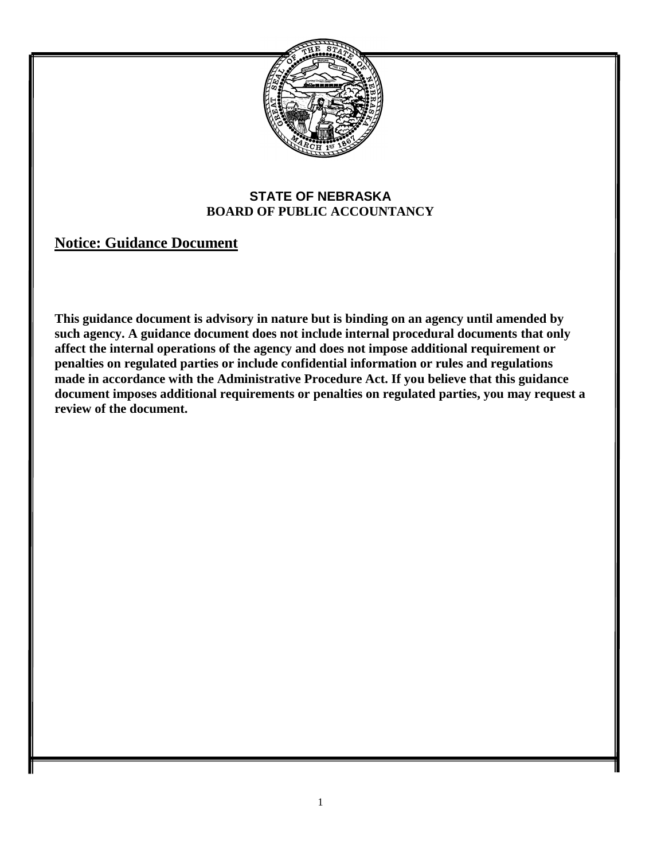

# **STATE OF NEBRASKA BOARD OF PUBLIC ACCOUNTANCY**

# **Notice: Guidance Document**

**This guidance document is advisory in nature but is binding on an agency until amended by such agency. A guidance document does not include internal procedural documents that only affect the internal operations of the agency and does not impose additional requirement or penalties on regulated parties or include confidential information or rules and regulations made in accordance with the Administrative Procedure Act. If you believe that this guidance document imposes additional requirements or penalties on regulated parties, you may request a review of the document.**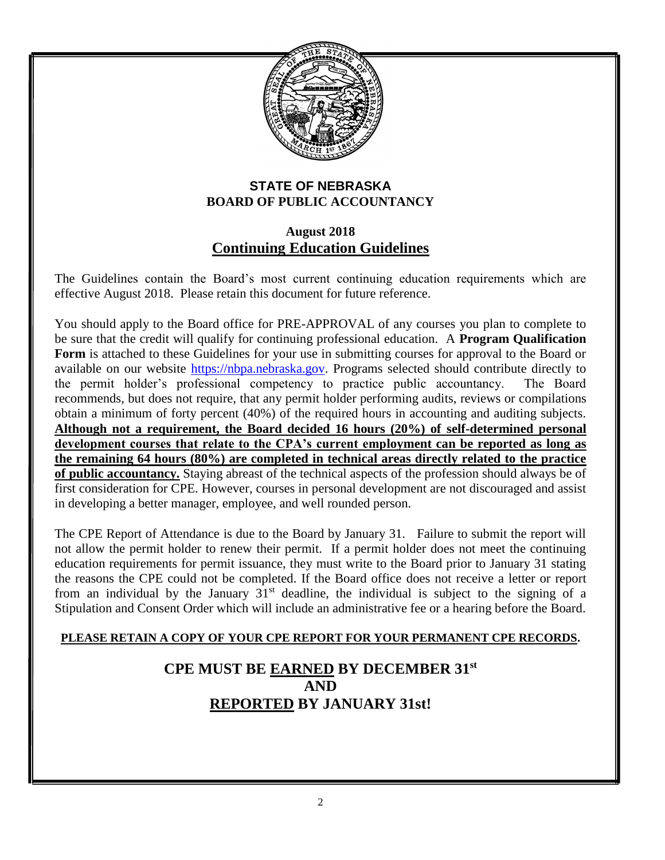

## **STATE OF NEBRASKA BOARD OF PUBLIC ACCOUNTANCY**

# **August 2018 Continuing Education Guidelines**

The Guidelines contain the Board's most current continuing education requirements which are effective August 2018. Please retain this document for future reference.

You should apply to the Board office for PRE-APPROVAL of any courses you plan to complete to be sure that the credit will qualify for continuing professional education. A **Program Qualification Form** is attached to these Guidelines for your use in submitting courses for approval to the Board or available on our website [https://nbpa.nebraska.gov.](https://nbpa.nebraska.gov/) Programs selected should contribute directly to the permit holder's professional competency to practice public accountancy. The Board recommends, but does not require, that any permit holder performing audits, reviews or compilations obtain a minimum of forty percent (40%) of the required hours in accounting and auditing subjects. **Although not a requirement, the Board decided 16 hours (20%) of self-determined personal development courses that relate to the CPA's current employment can be reported as long as the remaining 64 hours (80%) are completed in technical areas directly related to the practice of public accountancy.** Staying abreast of the technical aspects of the profession should always be of first consideration for CPE. However, courses in personal development are not discouraged and assist in developing a better manager, employee, and well rounded person.

The CPE Report of Attendance is due to the Board by January 31. Failure to submit the report will not allow the permit holder to renew their permit. If a permit holder does not meet the continuing education requirements for permit issuance, they must write to the Board prior to January 31 stating the reasons the CPE could not be completed. If the Board office does not receive a letter or report from an individual by the January  $31<sup>st</sup>$  deadline, the individual is subject to the signing of a Stipulation and Consent Order which will include an administrative fee or a hearing before the Board.

#### **PLEASE RETAIN A COPY OF YOUR CPE REPORT FOR YOUR PERMANENT CPE RECORDS.**

# **CPE MUST BE EARNED BY DECEMBER 31st AND REPORTED BY JANUARY 31st!**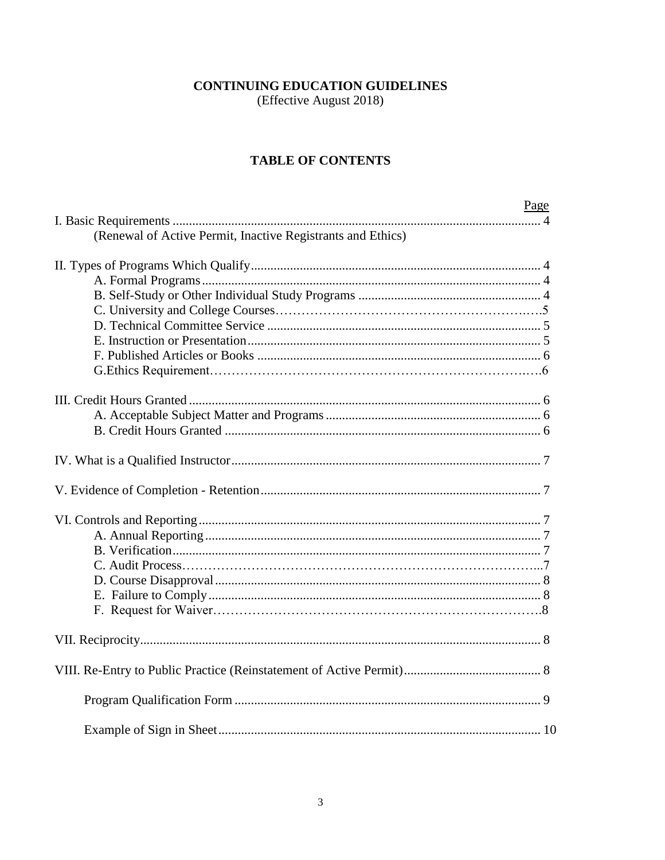# CONTINUING EDUCATION GUIDELINES

(Effective August 2018)

# **TABLE OF CONTENTS**

| Page                                                        |
|-------------------------------------------------------------|
|                                                             |
| (Renewal of Active Permit, Inactive Registrants and Ethics) |
|                                                             |
|                                                             |
|                                                             |
|                                                             |
|                                                             |
|                                                             |
|                                                             |
|                                                             |
|                                                             |
|                                                             |
|                                                             |
|                                                             |
|                                                             |
|                                                             |
|                                                             |
|                                                             |
|                                                             |
|                                                             |
|                                                             |
|                                                             |
|                                                             |
|                                                             |
|                                                             |
|                                                             |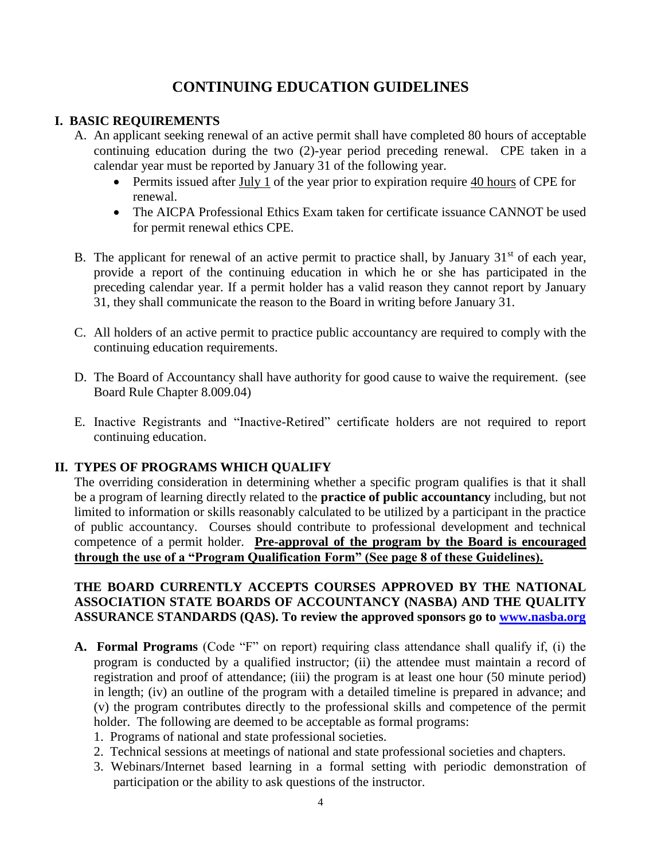# **CONTINUING EDUCATION GUIDELINES**

## **I. BASIC REQUIREMENTS**

- A. An applicant seeking renewal of an active permit shall have completed 80 hours of acceptable continuing education during the two (2)-year period preceding renewal. CPE taken in a calendar year must be reported by January 31 of the following year.
	- Permits issued after July 1 of the year prior to expiration require 40 hours of CPE for renewal.
	- The AICPA Professional Ethics Exam taken for certificate issuance CANNOT be used for permit renewal ethics CPE.
- B. The applicant for renewal of an active permit to practice shall, by January  $31<sup>st</sup>$  of each year, provide a report of the continuing education in which he or she has participated in the preceding calendar year. If a permit holder has a valid reason they cannot report by January 31, they shall communicate the reason to the Board in writing before January 31.
- C. All holders of an active permit to practice public accountancy are required to comply with the continuing education requirements.
- D. The Board of Accountancy shall have authority for good cause to waive the requirement. (see Board Rule Chapter 8.009.04)
- E. Inactive Registrants and "Inactive-Retired" certificate holders are not required to report continuing education.

## **II. TYPES OF PROGRAMS WHICH QUALIFY**

The overriding consideration in determining whether a specific program qualifies is that it shall be a program of learning directly related to the **practice of public accountancy** including, but not limited to information or skills reasonably calculated to be utilized by a participant in the practice of public accountancy. Courses should contribute to professional development and technical competence of a permit holder. **Pre-approval of the program by the Board is encouraged through the use of a "Program Qualification Form" (See page 8 of these Guidelines).** 

### **THE BOARD CURRENTLY ACCEPTS COURSES APPROVED BY THE NATIONAL ASSOCIATION STATE BOARDS OF ACCOUNTANCY (NASBA) AND THE QUALITY ASSURANCE STANDARDS (QAS). To review the approved sponsors go to [www.nasba.org](http://www.nasba.org/)**

- **A. Formal Programs** (Code "F" on report) requiring class attendance shall qualify if, (i) the program is conducted by a qualified instructor; (ii) the attendee must maintain a record of registration and proof of attendance; (iii) the program is at least one hour (50 minute period) in length; (iv) an outline of the program with a detailed timeline is prepared in advance; and (v) the program contributes directly to the professional skills and competence of the permit holder. The following are deemed to be acceptable as formal programs:
	- 1. Programs of national and state professional societies.
	- 2. Technical sessions at meetings of national and state professional societies and chapters.
	- 3. Webinars/Internet based learning in a formal setting with periodic demonstration of participation or the ability to ask questions of the instructor.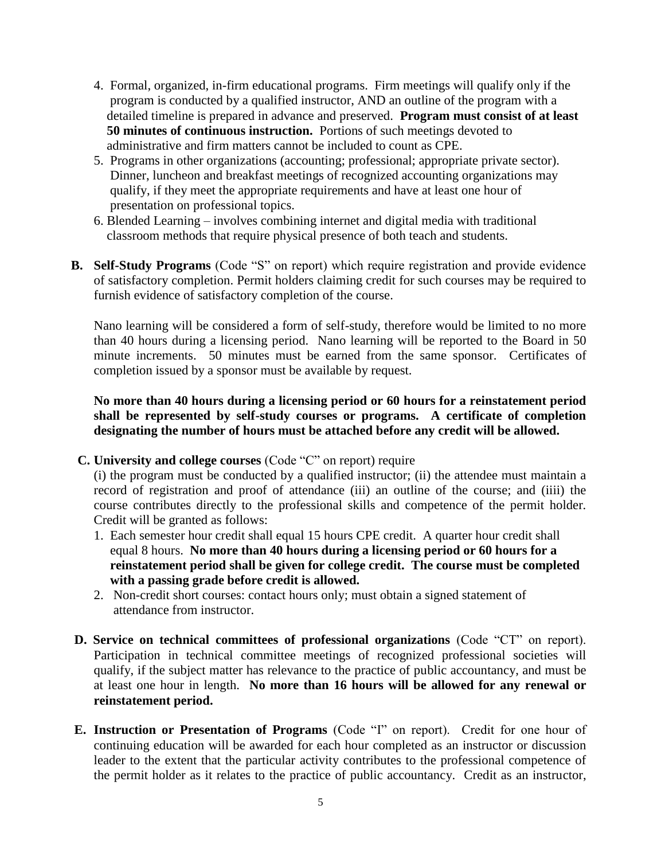- 4. Formal, organized, in-firm educational programs. Firm meetings will qualify only if the program is conducted by a qualified instructor, AND an outline of the program with a detailed timeline is prepared in advance and preserved. **Program must consist of at least 50 minutes of continuous instruction.** Portions of such meetings devoted to administrative and firm matters cannot be included to count as CPE.
- 5. Programs in other organizations (accounting; professional; appropriate private sector). Dinner, luncheon and breakfast meetings of recognized accounting organizations may qualify, if they meet the appropriate requirements and have at least one hour of presentation on professional topics.
- 6. Blended Learning involves combining internet and digital media with traditional classroom methods that require physical presence of both teach and students.
- **B. Self-Study Programs** (Code "S" on report) which require registration and provide evidence of satisfactory completion. Permit holders claiming credit for such courses may be required to furnish evidence of satisfactory completion of the course.

Nano learning will be considered a form of self-study, therefore would be limited to no more than 40 hours during a licensing period. Nano learning will be reported to the Board in 50 minute increments. 50 minutes must be earned from the same sponsor. Certificates of completion issued by a sponsor must be available by request.

 **No more than 40 hours during a licensing period or 60 hours for a reinstatement period shall be represented by self-study courses or programs. A certificate of completion designating the number of hours must be attached before any credit will be allowed.**

 **C. University and college courses** (Code "C" on report) require

(i) the program must be conducted by a qualified instructor; (ii) the attendee must maintain a record of registration and proof of attendance (iii) an outline of the course; and (iiii) the course contributes directly to the professional skills and competence of the permit holder. Credit will be granted as follows:

- 1. Each semester hour credit shall equal 15 hours CPE credit. A quarter hour credit shall equal 8 hours. **No more than 40 hours during a licensing period or 60 hours for a reinstatement period shall be given for college credit. The course must be completed with a passing grade before credit is allowed.**
- 2. Non-credit short courses: contact hours only; must obtain a signed statement of attendance from instructor.
- **D. Service on technical committees of professional organizations** (Code "CT" on report). Participation in technical committee meetings of recognized professional societies will qualify, if the subject matter has relevance to the practice of public accountancy, and must be at least one hour in length. **No more than 16 hours will be allowed for any renewal or reinstatement period.**
- **E. Instruction or Presentation of Programs** (Code "I" on report). Credit for one hour of continuing education will be awarded for each hour completed as an instructor or discussion leader to the extent that the particular activity contributes to the professional competence of the permit holder as it relates to the practice of public accountancy. Credit as an instructor,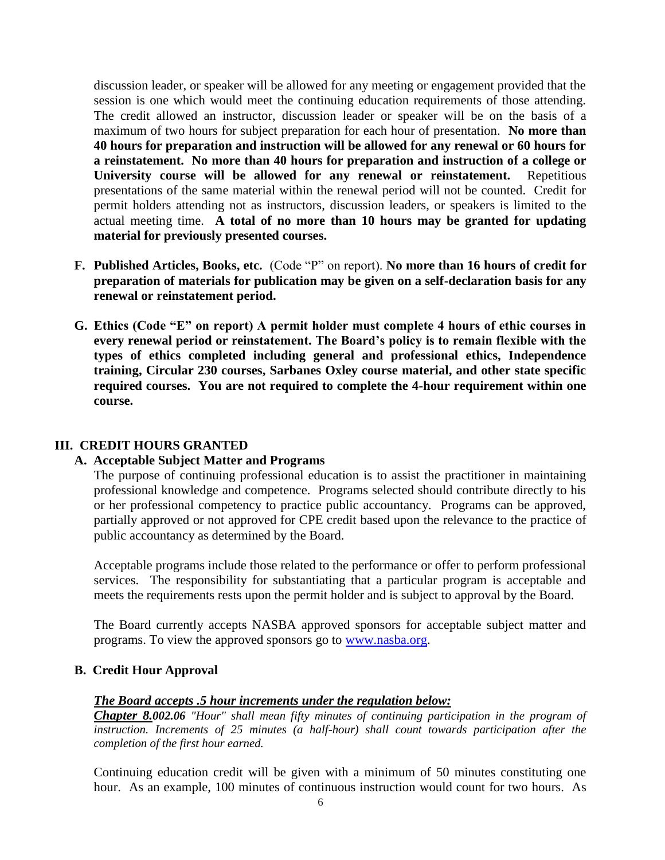discussion leader, or speaker will be allowed for any meeting or engagement provided that the session is one which would meet the continuing education requirements of those attending. The credit allowed an instructor, discussion leader or speaker will be on the basis of a maximum of two hours for subject preparation for each hour of presentation. **No more than 40 hours for preparation and instruction will be allowed for any renewal or 60 hours for a reinstatement. No more than 40 hours for preparation and instruction of a college or University course will be allowed for any renewal or reinstatement.** Repetitious presentations of the same material within the renewal period will not be counted. Credit for permit holders attending not as instructors, discussion leaders, or speakers is limited to the actual meeting time. **A total of no more than 10 hours may be granted for updating material for previously presented courses.**

- **F. Published Articles, Books, etc.** (Code "P" on report). **No more than 16 hours of credit for preparation of materials for publication may be given on a self-declaration basis for any renewal or reinstatement period.**
- **G. Ethics (Code "E" on report) A permit holder must complete 4 hours of ethic courses in every renewal period or reinstatement. The Board's policy is to remain flexible with the types of ethics completed including general and professional ethics, Independence training, Circular 230 courses, Sarbanes Oxley course material, and other state specific required courses. You are not required to complete the 4-hour requirement within one course.**

#### **III. CREDIT HOURS GRANTED**

#### **A. Acceptable Subject Matter and Programs**

The purpose of continuing professional education is to assist the practitioner in maintaining professional knowledge and competence. Programs selected should contribute directly to his or her professional competency to practice public accountancy. Programs can be approved, partially approved or not approved for CPE credit based upon the relevance to the practice of public accountancy as determined by the Board.

Acceptable programs include those related to the performance or offer to perform professional services. The responsibility for substantiating that a particular program is acceptable and meets the requirements rests upon the permit holder and is subject to approval by the Board.

The Board currently accepts NASBA approved sponsors for acceptable subject matter and programs. To view the approved sponsors go to [www.nasba.org.](http://www.nasba.org/)

#### **B. Credit Hour Approval**

#### *The Board accepts .5 hour increments under the regulation below:*

*Chapter 8.002.06 "Hour" shall mean fifty minutes of continuing participation in the program of instruction. Increments of 25 minutes (a half-hour) shall count towards participation after the completion of the first hour earned.*

Continuing education credit will be given with a minimum of 50 minutes constituting one hour. As an example, 100 minutes of continuous instruction would count for two hours. As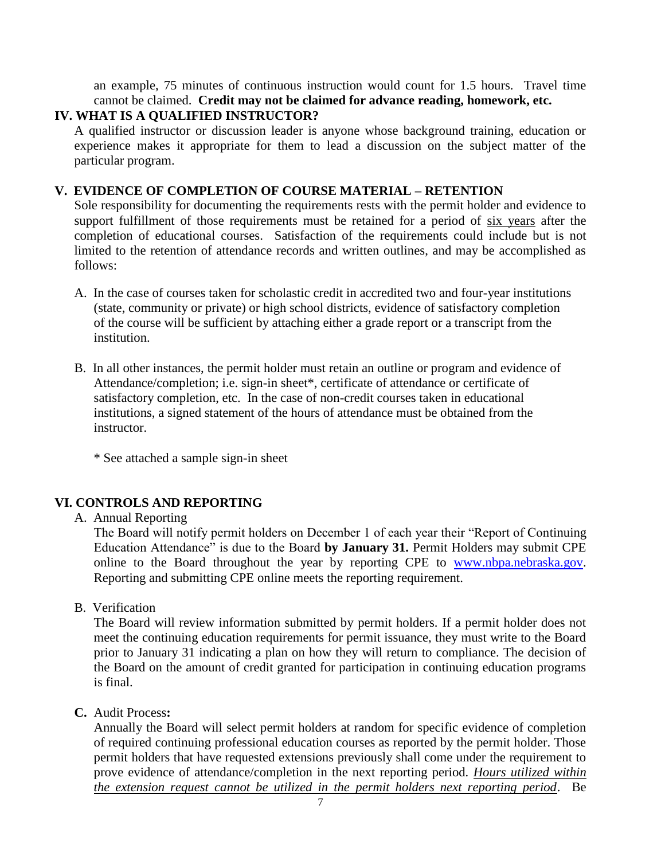an example, 75 minutes of continuous instruction would count for 1.5 hours. Travel time cannot be claimed. **Credit may not be claimed for advance reading, homework, etc.**

## **IV. WHAT IS A QUALIFIED INSTRUCTOR?**

A qualified instructor or discussion leader is anyone whose background training, education or experience makes it appropriate for them to lead a discussion on the subject matter of the particular program.

## **V. EVIDENCE OF COMPLETION OF COURSE MATERIAL – RETENTION**

Sole responsibility for documenting the requirements rests with the permit holder and evidence to support fulfillment of those requirements must be retained for a period of six years after the completion of educational courses. Satisfaction of the requirements could include but is not limited to the retention of attendance records and written outlines, and may be accomplished as follows:

- A. In the case of courses taken for scholastic credit in accredited two and four-year institutions (state, community or private) or high school districts, evidence of satisfactory completion of the course will be sufficient by attaching either a grade report or a transcript from the institution.
- B. In all other instances, the permit holder must retain an outline or program and evidence of Attendance/completion; i.e. sign-in sheet\*, certificate of attendance or certificate of satisfactory completion, etc. In the case of non-credit courses taken in educational institutions, a signed statement of the hours of attendance must be obtained from the instructor.

\* See attached a sample sign-in sheet

## **VI. CONTROLS AND REPORTING**

A. Annual Reporting

The Board will notify permit holders on December 1 of each year their "Report of Continuing Education Attendance" is due to the Board **by January 31.** Permit Holders may submit CPE online to the Board throughout the year by reporting CPE to [www.nbpa.nebraska.gov.](http://www.nbpa.nebraska.gov/) Reporting and submitting CPE online meets the reporting requirement.

B. Verification

The Board will review information submitted by permit holders. If a permit holder does not meet the continuing education requirements for permit issuance, they must write to the Board prior to January 31 indicating a plan on how they will return to compliance. The decision of the Board on the amount of credit granted for participation in continuing education programs is final.

**C.** Audit Process**:**

Annually the Board will select permit holders at random for specific evidence of completion of required continuing professional education courses as reported by the permit holder. Those permit holders that have requested extensions previously shall come under the requirement to prove evidence of attendance/completion in the next reporting period. *Hours utilized within the extension request cannot be utilized in the permit holders next reporting period*. Be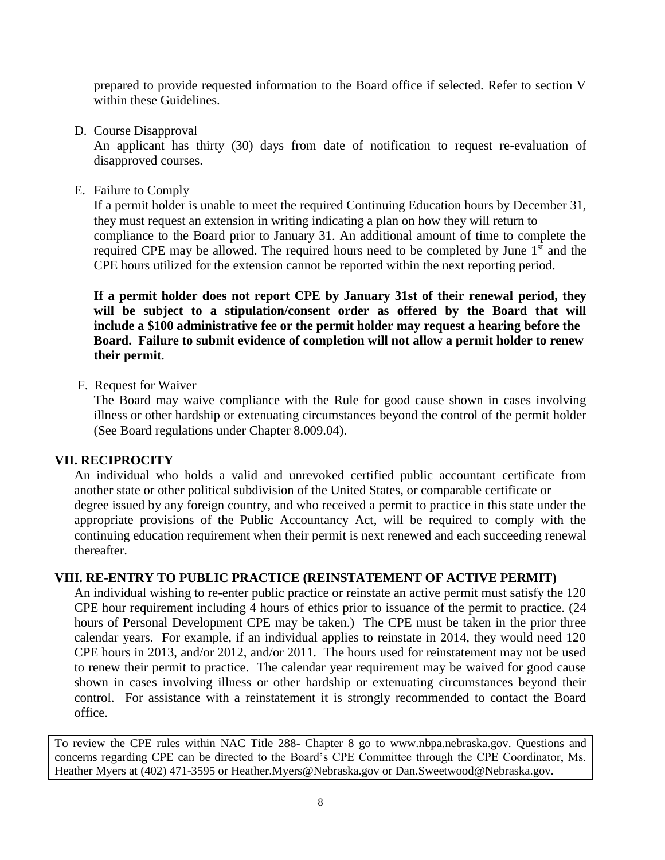prepared to provide requested information to the Board office if selected. Refer to section V within these Guidelines.

D. Course Disapproval

An applicant has thirty (30) days from date of notification to request re-evaluation of disapproved courses.

E. Failure to Comply

If a permit holder is unable to meet the required Continuing Education hours by December 31, they must request an extension in writing indicating a plan on how they will return to compliance to the Board prior to January 31. An additional amount of time to complete the required CPE may be allowed. The required hours need to be completed by June  $1<sup>st</sup>$  and the CPE hours utilized for the extension cannot be reported within the next reporting period.

**If a permit holder does not report CPE by January 31st of their renewal period, they**  will be subject to a stipulation/consent order as offered by the Board that will  **include a \$100 administrative fee or the permit holder may request a hearing before the Board. Failure to submit evidence of completion will not allow a permit holder to renew their permit**.

F. Request for Waiver

The Board may waive compliance with the Rule for good cause shown in cases involving illness or other hardship or extenuating circumstances beyond the control of the permit holder (See Board regulations under Chapter 8.009.04).

#### **VII. RECIPROCITY**

An individual who holds a valid and unrevoked certified public accountant certificate from another state or other political subdivision of the United States, or comparable certificate or degree issued by any foreign country, and who received a permit to practice in this state under the appropriate provisions of the Public Accountancy Act, will be required to comply with the continuing education requirement when their permit is next renewed and each succeeding renewal thereafter.

## **VIII. RE-ENTRY TO PUBLIC PRACTICE (REINSTATEMENT OF ACTIVE PERMIT)**

An individual wishing to re-enter public practice or reinstate an active permit must satisfy the 120 CPE hour requirement including 4 hours of ethics prior to issuance of the permit to practice. (24 hours of Personal Development CPE may be taken.) The CPE must be taken in the prior three calendar years. For example, if an individual applies to reinstate in 2014, they would need 120 CPE hours in 2013, and/or 2012, and/or 2011. The hours used for reinstatement may not be used to renew their permit to practice. The calendar year requirement may be waived for good cause shown in cases involving illness or other hardship or extenuating circumstances beyond their control. For assistance with a reinstatement it is strongly recommended to contact the Board office.

To review the CPE rules within NAC Title 288- Chapter 8 go to www.nbpa.nebraska.gov. Questions and concerns regarding CPE can be directed to the Board's CPE Committee through the CPE Coordinator, Ms. Heather Myers at (402) 471-3595 or Heather.Myers@Nebraska.gov or Dan.Sweetwood@Nebraska.gov.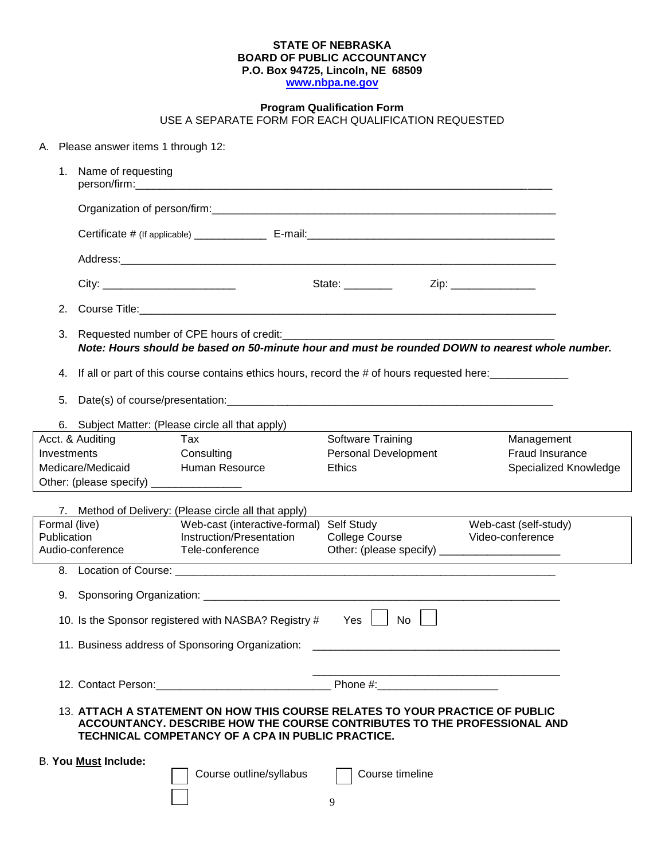#### **STATE OF NEBRASKA BOARD OF PUBLIC ACCOUNTANCY P.O. Box 94725, Lincoln, NE 68509 [www.nbpa.ne.gov](http://www.nbpa.ne.gov/)**

#### **Program Qualification Form** USE A SEPARATE FORM FOR EACH QUALIFICATION REQUESTED

|                                                                                                                                                                                                               | A. Please answer items 1 through 12:              |                                                                                                                                             |                                                       |                             |                       |  |  |  |
|---------------------------------------------------------------------------------------------------------------------------------------------------------------------------------------------------------------|---------------------------------------------------|---------------------------------------------------------------------------------------------------------------------------------------------|-------------------------------------------------------|-----------------------------|-----------------------|--|--|--|
|                                                                                                                                                                                                               |                                                   | 1. Name of requesting                                                                                                                       |                                                       |                             |                       |  |  |  |
|                                                                                                                                                                                                               |                                                   |                                                                                                                                             |                                                       |                             |                       |  |  |  |
|                                                                                                                                                                                                               |                                                   |                                                                                                                                             |                                                       |                             |                       |  |  |  |
|                                                                                                                                                                                                               |                                                   |                                                                                                                                             |                                                       |                             |                       |  |  |  |
|                                                                                                                                                                                                               |                                                   |                                                                                                                                             |                                                       | State: $\frac{1}{2}$        | Zip: _______________  |  |  |  |
|                                                                                                                                                                                                               | 2.                                                |                                                                                                                                             |                                                       |                             |                       |  |  |  |
|                                                                                                                                                                                                               | 3.                                                | Requested number of CPE hours of credit:<br>Note: Hours should be based on 50-minute hour and must be rounded DOWN to nearest whole number. |                                                       |                             |                       |  |  |  |
|                                                                                                                                                                                                               | 4.                                                | If all or part of this course contains ethics hours, record the # of hours requested here:                                                  |                                                       |                             |                       |  |  |  |
|                                                                                                                                                                                                               | 5.                                                |                                                                                                                                             |                                                       |                             |                       |  |  |  |
|                                                                                                                                                                                                               | 6. Subject Matter: (Please circle all that apply) |                                                                                                                                             |                                                       |                             |                       |  |  |  |
|                                                                                                                                                                                                               |                                                   | Acct. & Auditing                                                                                                                            | Tax                                                   | Software Training           | Management            |  |  |  |
|                                                                                                                                                                                                               |                                                   | Investments                                                                                                                                 | Consulting                                            | <b>Personal Development</b> | Fraud Insurance       |  |  |  |
|                                                                                                                                                                                                               |                                                   | Medicare/Medicaid                                                                                                                           | Human Resource                                        | <b>Ethics</b>               | Specialized Knowledge |  |  |  |
|                                                                                                                                                                                                               |                                                   |                                                                                                                                             | Other: (please specify) _________________             |                             |                       |  |  |  |
|                                                                                                                                                                                                               |                                                   |                                                                                                                                             | 7. Method of Delivery: (Please circle all that apply) |                             |                       |  |  |  |
|                                                                                                                                                                                                               |                                                   | Formal (live)                                                                                                                               | Web-cast (interactive-formal) Self Study              |                             | Web-cast (self-study) |  |  |  |
|                                                                                                                                                                                                               |                                                   | Publication                                                                                                                                 | Instruction/Presentation                              | College Course              | Video-conference      |  |  |  |
|                                                                                                                                                                                                               |                                                   | Audio-conference                                                                                                                            | Tele-conference                                       |                             |                       |  |  |  |
|                                                                                                                                                                                                               |                                                   |                                                                                                                                             |                                                       |                             |                       |  |  |  |
|                                                                                                                                                                                                               |                                                   |                                                                                                                                             |                                                       |                             |                       |  |  |  |
| 10. Is the Sponsor registered with NASBA? Registry # Yes   No                                                                                                                                                 |                                                   |                                                                                                                                             |                                                       |                             |                       |  |  |  |
| 11. Business address of Sponsoring Organization: _______________________________                                                                                                                              |                                                   |                                                                                                                                             |                                                       |                             |                       |  |  |  |
|                                                                                                                                                                                                               |                                                   |                                                                                                                                             |                                                       |                             |                       |  |  |  |
| 13. ATTACH A STATEMENT ON HOW THIS COURSE RELATES TO YOUR PRACTICE OF PUBLIC<br>ACCOUNTANCY. DESCRIBE HOW THE COURSE CONTRIBUTES TO THE PROFESSIONAL AND<br>TECHNICAL COMPETANCY OF A CPA IN PUBLIC PRACTICE. |                                                   |                                                                                                                                             |                                                       |                             |                       |  |  |  |
|                                                                                                                                                                                                               |                                                   | <b>B. You Must Include:</b>                                                                                                                 | Course outline/syllabus                               | Course timeline<br>9        |                       |  |  |  |
|                                                                                                                                                                                                               |                                                   |                                                                                                                                             |                                                       |                             |                       |  |  |  |